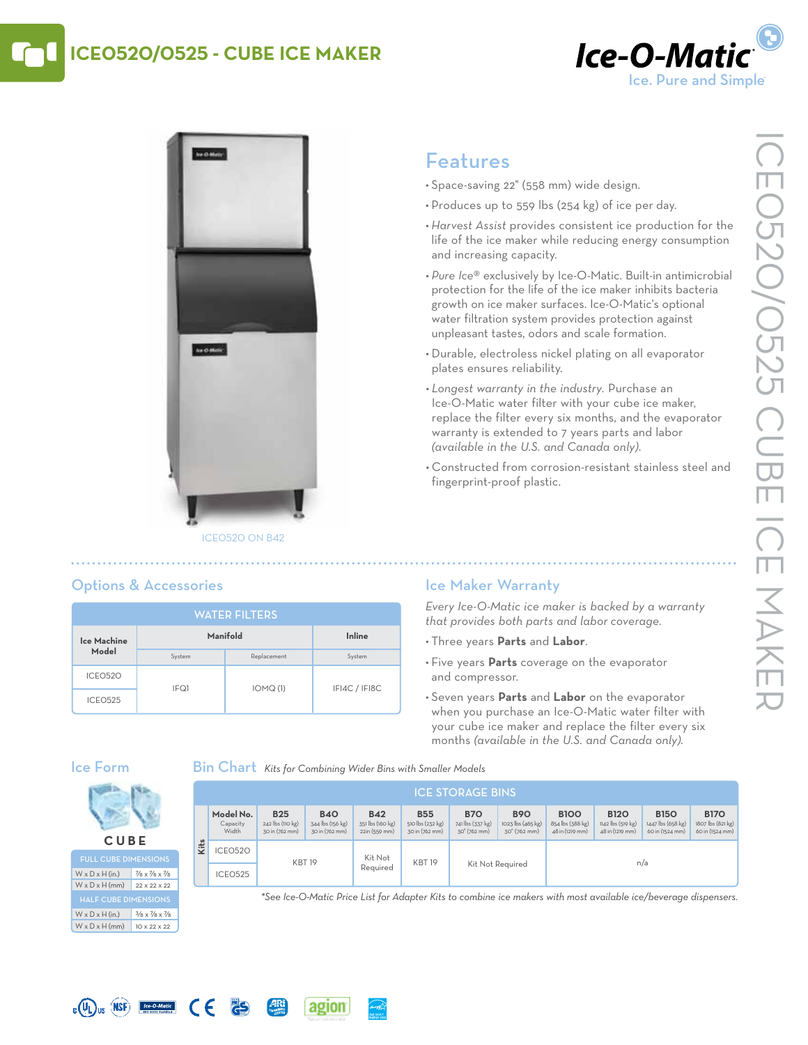## **ICE0520/0525 - Cube Ice Maker**





# Features

- • Space-saving 22" (558 mm) wide design.
- Produces up to 559 lbs (254 kg) of ice per day.
- *• Harvest Assist* provides consistent ice production for the life of the ice maker while reducing energy consumption and increasing capacity.
- *• Pure Ice*® exclusively by Ice-O-Matic. Built-in antimicrobial protection for the life of the ice maker inhibits bacteria growth on ice maker surfaces. Ice-O-Matic's optional water filtration system provides protection against unpleasant tastes, odors and scale formation.
- • Durable, electroless nickel plating on all evaporator plates ensures reliability.
- *• Longest warranty in the industry.* Purchase an Ice-O-Matic water filter with your cube ice maker, replace the filter every six months, and the evaporator warranty is extended to 7 years parts and labor *(available in the U.S. and Canada only)*.
- • Constructed from corrosion-resistant stainless steel and fingerprint-proof plastic.

## Options & Accessories

| <b>WATER FILTERS</b> |          |             |               |  |  |  |  |  |
|----------------------|----------|-------------|---------------|--|--|--|--|--|
| Ice Machine          | Manifold | Inline      |               |  |  |  |  |  |
| Model                | System   | Replacement | System        |  |  |  |  |  |
| ICEO520              | IFQ1     | IOMQ(1)     | IFI4C / IFI8C |  |  |  |  |  |
| <b>ICEO525</b>       |          |             |               |  |  |  |  |  |

## Ice Maker Warranty

*Every Ice-O-Matic ice maker is backed by a warranty that provides both parts and labor coverage.*

- • Three years **Parts** and **Labor**.
- • Five years **Parts** coverage on the evaporator and compressor.
- • Seven years **Parts** and **Labor** on the evaporator when you purchase an Ice-O-Matic water filter with your cube ice maker and replace the filter every six months *(available in the U.S. and Canada only).*

### Ice Form

**C UB E** Full Cube Dimensions  $W \times D \times H$  (in.) 7/8 x 7/8 x 7/8  $W \times D \times H$  (mm) 22 x 22 x 22

 $W \times D \times H$  (in.)  $3/8 \times 7/8 \times 7/8$  $W \times D \times H$  (mm) 10 x 22 x 22

 $\epsilon$ 

25

Bin Chart *Kits for Combining Wider Bins with Smaller Models*

agion

|      | <b>ICE STORAGE BINS</b>        |                                                  |                                                  |                                                 |                                                  |                                                |                                                 |                                                    |                                                     |                                                     |                                                     |
|------|--------------------------------|--------------------------------------------------|--------------------------------------------------|-------------------------------------------------|--------------------------------------------------|------------------------------------------------|-------------------------------------------------|----------------------------------------------------|-----------------------------------------------------|-----------------------------------------------------|-----------------------------------------------------|
|      | Model No.<br>Capacity<br>Width | <b>B25</b><br>242 lbs (110 kg)<br>30 in (762 mm) | <b>B40</b><br>344 lbs (156 kg)<br>30 in (762 mm) | <b>B42</b><br>351 lbs (160 kg)<br>22in (559 mm) | <b>B55</b><br>510 lbs (232 kg)<br>30 in (762 mm) | <b>B70</b><br>741 lbs (337 kg)<br>30" (762 mm) | <b>B90</b><br>1023 lbs (465 kg)<br>30" (762 mm) | <b>B100</b><br>854 lbs (388 kg)<br>48 in (1219 mm) | <b>B120</b><br>1142 lbs (519 kg)<br>48 in (1219 mm) | <b>B150</b><br>1447 lbs (658 kg)<br>60 in (1524 mm) | <b>B170</b><br>1807 lbs (821 kg)<br>60 in (1524 mm) |
| Kits | ICEO520                        | <b>KBT19</b>                                     |                                                  | Kit Not                                         | <b>KBT 19</b>                                    |                                                |                                                 | n/a                                                |                                                     |                                                     |                                                     |
|      | ICEO525                        |                                                  |                                                  | Reauired                                        |                                                  | Kit Not Required                               |                                                 |                                                    |                                                     |                                                     |                                                     |

*\*See Ice-O-Matic Price List for Adapter Kits to combine ice makers with most available ice/beverage dispensers.*



# $\overline{L}$  ( $\overline{U}$ )  $\overline{U}$  ( $\overline{M}$  )  $\overline{L}$   $\overline{L}$   $\overline{L}$   $\overline{L}$   $\overline{L}$   $\overline{L}$   $\overline{L}$   $\overline{L}$   $\overline{L}$   $\overline{L}$   $\overline{L}$   $\overline{L}$   $\overline{L}$   $\overline{L}$   $\overline{L}$   $\overline{L}$   $\overline{L}$   $\overline{L}$   $\overline{L}$   $\overline{L}$